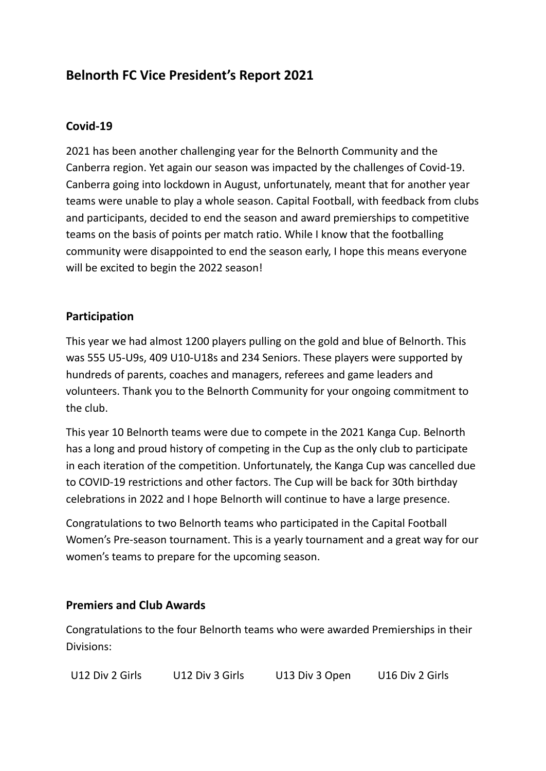# **Belnorth FC Vice President's Report 2021**

## **Covid-19**

2021 has been another challenging year for the Belnorth Community and the Canberra region. Yet again our season was impacted by the challenges of Covid-19. Canberra going into lockdown in August, unfortunately, meant that for another year teams were unable to play a whole season. Capital Football, with feedback from clubs and participants, decided to end the season and award premierships to competitive teams on the basis of points per match ratio. While I know that the footballing community were disappointed to end the season early, I hope this means everyone will be excited to begin the 2022 season!

## **Participation**

This year we had almost 1200 players pulling on the gold and blue of Belnorth. This was 555 U5-U9s, 409 U10-U18s and 234 Seniors. These players were supported by hundreds of parents, coaches and managers, referees and game leaders and volunteers. Thank you to the Belnorth Community for your ongoing commitment to the club.

This year 10 Belnorth teams were due to compete in the 2021 Kanga Cup. Belnorth has a long and proud history of competing in the Cup as the only club to participate in each iteration of the competition. Unfortunately, the Kanga Cup was cancelled due to COVID-19 restrictions and other factors. The Cup will be back for 30th birthday celebrations in 2022 and I hope Belnorth will continue to have a large presence.

Congratulations to two Belnorth teams who participated in the Capital Football Women's Pre-season tournament. This is a yearly tournament and a great way for our women's teams to prepare for the upcoming season.

#### **Premiers and Club Awards**

Congratulations to the four Belnorth teams who were awarded Premierships in their Divisions:

U12 Div 2 Girls U12 Div 3 Girls U13 Div 3 Open U16 Div 2 Girls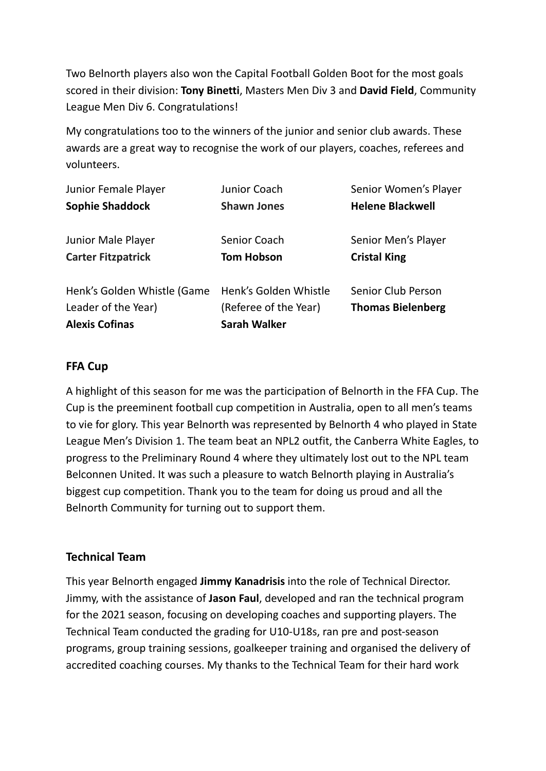Two Belnorth players also won the Capital Football Golden Boot for the most goals scored in their division: **Tony Binetti**, Masters Men Div 3 and **David Field**, Community League Men Div 6. Congratulations!

My congratulations too to the winners of the junior and senior club awards. These awards are a great way to recognise the work of our players, coaches, referees and volunteers.

| Junior Female Player                                                        | Junior Coach                                                          | Senior Women's Player                                 |
|-----------------------------------------------------------------------------|-----------------------------------------------------------------------|-------------------------------------------------------|
| <b>Sophie Shaddock</b>                                                      | <b>Shawn Jones</b>                                                    | <b>Helene Blackwell</b>                               |
| Junior Male Player                                                          | Senior Coach                                                          | Senior Men's Player                                   |
| <b>Carter Fitzpatrick</b>                                                   | <b>Tom Hobson</b>                                                     | <b>Cristal King</b>                                   |
| Henk's Golden Whistle (Game<br>Leader of the Year)<br><b>Alexis Cofinas</b> | Henk's Golden Whistle<br>(Referee of the Year)<br><b>Sarah Walker</b> | <b>Senior Club Person</b><br><b>Thomas Bielenberg</b> |

#### **FFA Cup**

A highlight of this season for me was the participation of Belnorth in the FFA Cup. The Cup is the preeminent football cup competition in Australia, open to all men's teams to vie for glory. This year Belnorth was represented by Belnorth 4 who played in State League Men's Division 1. The team beat an NPL2 outfit, the Canberra White Eagles, to progress to the Preliminary Round 4 where they ultimately lost out to the NPL team Belconnen United. It was such a pleasure to watch Belnorth playing in Australia's biggest cup competition. Thank you to the team for doing us proud and all the Belnorth Community for turning out to support them.

#### **Technical Team**

This year Belnorth engaged **Jimmy Kanadrisis** into the role of Technical Director. Jimmy, with the assistance of **Jason Faul**, developed and ran the technical program for the 2021 season, focusing on developing coaches and supporting players. The Technical Team conducted the grading for U10-U18s, ran pre and post-season programs, group training sessions, goalkeeper training and organised the delivery of accredited coaching courses. My thanks to the Technical Team for their hard work